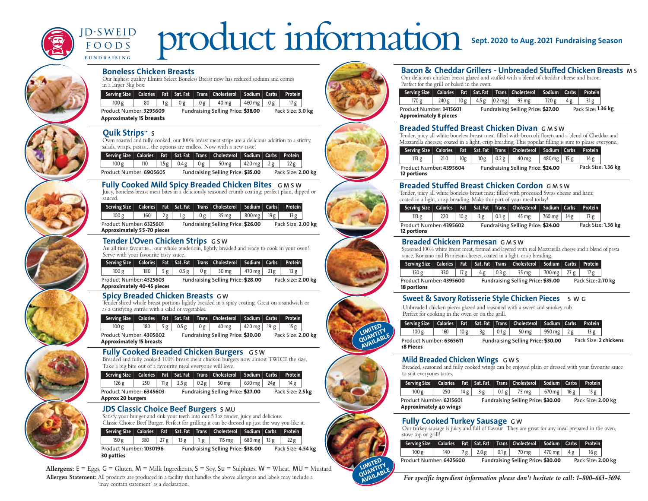

# product information **Sept. <sup>2020</sup> to Aug.<sup>2021</sup> Fundraising Season**  $D-SWEID$

**Boneless Chicken Breasts**

Our highest quality Elmira Select Boneless Breast now has reduced sodium and comes in a larger 3kg box.

| Serving Size                                               |    |    |    |    | Calories Fat Sat. Fat Trans Cholesterol Sodium Carbs |        |    | Protein           |
|------------------------------------------------------------|----|----|----|----|------------------------------------------------------|--------|----|-------------------|
| 100 g                                                      | 80 | lg | 0g | 0g | 40 mg                                                | 460 mg | 0g | 17 ຂ              |
| Product Number: 3295609<br><b>Approximately 15 breasts</b> |    |    |    |    | Fundraising Selling Price: \$38.00                   |        |    | Pack Size: 3.0 kg |

### **Quik Strips™ S**

**F U N D R A I S I N G**

 $FQOPS$ 

Oven roasted and fully cooked, our 100% breast meat strips are a delicious addition to a stirfry, salads, wraps, pastas... the options are endless. Now with a new taste!

|                         |     |              |    | Serving Size   Calories   Fat   Sat. Fat   Trans   Cholesterol   Sodium   Carbs   Protein |                       |                    |  |
|-------------------------|-----|--------------|----|-------------------------------------------------------------------------------------------|-----------------------|--------------------|--|
| 100 g                   | 110 | $1.5 g$ 0.4g | 0g | $50 \,\mathrm{mg}$                                                                        | $ 420 \text{ mg} 2g $ | 22 g               |  |
| Product Number: 6905605 |     |              |    | Fundraising Selling Price: \$35.00                                                        |                       | Pack Size: 2.00 kg |  |

#### **Fully Cooked Mild Spicy Breaded Chicken Bites G M S W** Juicy, boneless breast meat bites in a deliciously seasoned crumb coating; perfect plain, dipped or

sauced.

|                                   |     |    |     | Serving Size   Calories   Fat   Sat. Fat   Trans   Cholesterol   Sodium   Carbs |        |     | <b>Protein</b>     |  |
|-----------------------------------|-----|----|-----|---------------------------------------------------------------------------------|--------|-----|--------------------|--|
| 100 g                             | 160 | 2g | 0 g | 35 mg                                                                           | 800 mg | 19g |                    |  |
| Product Number: 6325601           |     |    |     | Fundraising Selling Price: \$26.00                                              |        |     | Pack Size: 2.00 kg |  |
| <b>Approximately 55-70 pieces</b> |     |    |     |                                                                                 |        |     |                    |  |

### **Tender L'Oven Chicken Strips G S W**

An all time favourite... our whole tenderloin, lightly breaded and ready to cook in your oven! Serve with your favourite tasty sauce.

|                         |  |  | Serving Size   Calories   Fat   Sat. Fat   Trans   Cholesterol   Sodium   Carbs   Protein |  |                    |  |
|-------------------------|--|--|-------------------------------------------------------------------------------------------|--|--------------------|--|
| 100 g                   |  |  | $180$   5 g   0.5 g   0 g   30 mg   470 mg   21 g                                         |  | 13g                |  |
| Product Number: 4325603 |  |  | Fundraising Selling Price: \$28.00                                                        |  | Pack size: 2.00 kg |  |

**Approximately 40-45 pieces**

### **Spicy Breaded Chicken Breasts G W**

Tender sliced whole breast portions lightly breaded in a spicy coating. Great on a sandwich or as a satisfying entrée with a salad or vegetables.

|                                 |     |    |       |    | Serving Size   Calories   Fat   Sat. Fat   Trans   Cholesterol   Sodium   Carbs   Protein |                 |                    |  |
|---------------------------------|-----|----|-------|----|-------------------------------------------------------------------------------------------|-----------------|--------------------|--|
| 100 g                           | 180 | 5g | 0.5 g | 0g | 40 mg                                                                                     | 420 mg $ $ 19 g | 15g                |  |
| Product Number: 4305602         |     |    |       |    | Fundraising Selling Price: \$30.00                                                        |                 | Pack Size: 2.00 kg |  |
| <b>Approximately 15 breasts</b> |     |    |       |    |                                                                                           |                 |                    |  |

### **Fully Cooked Breaded Chicken Burgers** GSW

Breaded and fully cooked 100% breast meat chicken burgers now almost TWICE the size. Take a big bite out of a favourite meal everyone will love.

| Serving Size             |     |      |      |      | Calories Fat Sat. Fat Trans Cholesterol Sodium Carbs |        |                 | Protein           |
|--------------------------|-----|------|------|------|------------------------------------------------------|--------|-----------------|-------------------|
| 126 g                    | 250 | 11 g | 2.5g | 0.2g | 50 mg                                                | 630 mg | 24 <sub>g</sub> | 14 g              |
| Product Number: 6345603  |     |      |      |      | Fundraising Selling Price: \$27.00                   |        |                 | Pack Size: 2.5 kg |
| <b>Approx 20 burgers</b> |     |      |      |      |                                                      |        |                 |                   |

### **JDS Classic Choice Beef Burgers S MU**

Satisfy your hunger and sink your teeth into our 5.3oz tender, juicy and delicious Classic Choice Beef Burger. Perfect for grilling it can be dressed up just the way you like it.

|                                              |     |      |        |    | Serving Size   Calories   Fat   Sat. Fat   Trans   Cholesterol   Sodium   Carbs   Protein |                       |                    |  |
|----------------------------------------------|-----|------|--------|----|-------------------------------------------------------------------------------------------|-----------------------|--------------------|--|
| 150 g                                        | 380 | 27 g | 13 $g$ | 1g | 115 mg                                                                                    | $680 \text{ mg}$ 13 g | 22g                |  |
| Product Number: 1030196<br><b>30 patties</b> |     |      |        |    | Fundraising Selling Price: \$38.00                                                        |                       | Pack Size: 4.54 kg |  |

**Allergens:**  $E = \text{Eggs}$ ,  $G = \text{Gluten}$ ,  $M = \text{Milk Ingredients}$ ,  $S = \text{Soy}$ ,  $Su = \text{Sulphites}$ ,  $W = \text{Wheat}$ ,  $MU = \text{Mustard}$ **Allergen Statement:** All products are produced in a facility that handles the above allergens and labels may include a 'may contain statement' as a declaration.



LIMITED LIMITITY **AVAILABLE** 

**LIMITED** LIMITITY **AVAILABLE** 

## **Bacon & Cheddar Grillers - Unbreaded Stuffed Chicken Breasts M S**

Our delicious chicken breast glazed and stuffed with a blend of cheddar cheese and bacon. Perfect for the grill or baked in the oven.

| Serving Size                                             |       |     |       |                    | Calories Fat Sat. Fat Trans Cholesterol Sodium Carbs |       |     | <b>Protein</b>     |  |
|----------------------------------------------------------|-------|-----|-------|--------------------|------------------------------------------------------|-------|-----|--------------------|--|
| 170 g                                                    | 240 g | 10g | 4.5 g | $ 0.2 \text{ me} $ | 95 mg                                                | 720 g | 4 g | 31 g               |  |
| Product Number: 3415601<br><b>Approximately 8 pieces</b> |       |     |       |                    | Fundraising Selling Price: \$27.00                   |       |     | Pack Size: 1.36 kg |  |

### **Breaded Stuffed Breast Chicken Divan G M S W**

Tender, juicy all white boneless breast meat filled with broccoli florets and a blend of Cheddar and Mozzarella cheeses; coated in a light, crisp breading. This popular filling is sure to please everyone.

|                                        |     |     |      |                       | Serving Size   Calories   Fat   Sat. Fat   Trans   Cholesterol   Sodium   Carbs   Protein |                            |                    |  |
|----------------------------------------|-----|-----|------|-----------------------|-------------------------------------------------------------------------------------------|----------------------------|--------------------|--|
| 113 g                                  | 210 | 10g | 10 g | $\vert$ 0.2 g $\vert$ | 40 mg                                                                                     | $480 \,\mathrm{mg}$   15 g | 14 g               |  |
| Product Number: 4395604<br>12 portions |     |     |      |                       | Fundraising Selling Price: \$24.00                                                        |                            | Pack Size: 1.36 kg |  |

### **Breaded Stuffed Breast Chicken Cordon G M S W**

Tender, juicy all white boneless breast meat filled with processed Swiss cheese and ham; coated in a light, crisp breading. Make this part of your meal today!

|                                        |     |     |    |       | Serving Size   Calories   Fat   Sat. Fat   Trans   Cholesterol   Sodium   Carbs   Protein |               |                    |  |
|----------------------------------------|-----|-----|----|-------|-------------------------------------------------------------------------------------------|---------------|--------------------|--|
| 113 <sub>g</sub>                       | 220 | 10g | 3g | 0.1 g | 45 mg                                                                                     | 760 mg   14 g | 17 $g$             |  |
| Product Number: 4395602<br>12 portions |     |     |    |       | Fundraising Selling Price: \$24.00                                                        |               | Pack Size: 1.36 kg |  |

### **Breaded Chicken Parmesan G M S W**

Seasoned 100% white breast meat, formed and layered with real Mozzarella cheese and a blend of pasta sauce, Romano and Parmesan cheeses, coated in a light, crisp breading.

|                                        |     |     |    |           | Serving Size   Calories   Fat   Sat. Fat   Trans   Cholesterol   Sodium   Carbs   Protein |               |                    |  |
|----------------------------------------|-----|-----|----|-----------|-------------------------------------------------------------------------------------------|---------------|--------------------|--|
| 150 g                                  | 330 | 17g | 4g | $-10.3 g$ | 35 mg                                                                                     | 700 mg   27 g | 17 ຂ               |  |
| Product Number: 4395600<br>18 portions |     |     |    |           | Fundraising Selling Price: \$35.00                                                        |               | Pack Size: 2.70 kg |  |

### **Sweet & Savory Rotisserie Style Chicken Pieces S W G**

Unbreaded chicken pieces glazed and seasoned with a sweet and smokey rub. Perfect for cooking in the oven or on the grill.

|                                      |     |     |    |      | Serving Size   Calories   Fat   Sat. Fat   Trans   Cholesterol   Sodium   Carbs   Protein |                      |      |                       |
|--------------------------------------|-----|-----|----|------|-------------------------------------------------------------------------------------------|----------------------|------|-----------------------|
| 100 <sub>g</sub>                     | 160 | 10g | 3g | 0.1g | 50 mg                                                                                     | $950 \text{ mg}$ 2 g | 13 g |                       |
| Product Number: 6365611<br>18 Pieces |     |     |    |      | Fundraising Selling Price: \$30.00                                                        |                      |      | Pack Size: 2 chickens |

### **Mild Breaded Chicken Wings G W S**

Breaded, seasoned and fully cooked wings can be enjoyed plain or dressed with your favourite sauce to suit everyones tastes.

| Calories Fat Sat. Fat Trans Cholesterol Sodium Carbs Protein<br>Serving Size |     |     |    |       |                                    |                   |     |                    |  |
|------------------------------------------------------------------------------|-----|-----|----|-------|------------------------------------|-------------------|-----|--------------------|--|
| 100 g                                                                        | 250 | 14g | 3g | 0.1 g | 75 mg                              | $ 670 \text{mg} $ | 16g | 15 g               |  |
| Product Number: 6215601<br>Approximately 40 wings                            |     |     |    |       | Fundraising Selling Price: \$30.00 |                   |     | Pack Size: 2.00 kg |  |

### **Fully Cooked Turkey Sausage G W**

Our turkey sausage is juicy and full of flavour. They are great for any meal prepared in the oven, stove top or grill!

|                         |  |                   |                                    | Serving Size   Calories   Fat   Sat. Fat   Trans   Cholesterol   Sodium   Carbs   Protein |                        |    |     |  |
|-------------------------|--|-------------------|------------------------------------|-------------------------------------------------------------------------------------------|------------------------|----|-----|--|
| 100 g                   |  | $140$   7g   2.0g |                                    | $0.1 g$ 70 mg                                                                             | $\vert$ 470 mg $\vert$ | 4g | 16g |  |
| Product Number: 6425600 |  |                   | Fundraising Selling Price: \$30.00 | Pack Size: 2.00 kg                                                                        |                        |    |     |  |

*For specific ingredient information please don't hesitate to call: 1-800-663-5694.*